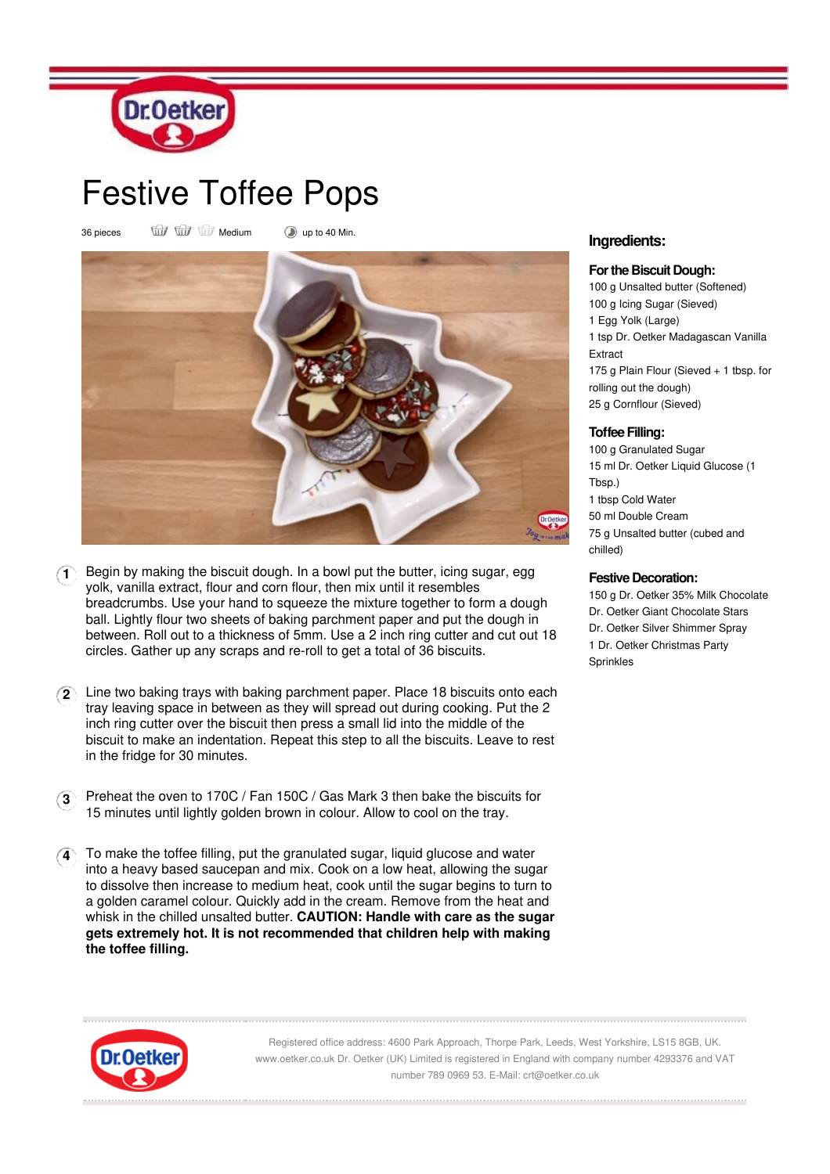

# Festive Toffee Pops

36 pieces Will Will Medium Dup to 40 Min.



- **1** Begin by making the biscuit dough. In a bowl put the butter, icing sugar, egg yolk, vanilla extract, flour and corn flour, then mix until it resembles breadcrumbs. Use your hand to squeeze the mixture together to form a dough ball. Lightly flour two sheets of baking parchment paper and put the dough in between. Roll out to a thickness of 5mm. Use a 2 inch ring cutter and cut out 18 circles. Gather up any scraps and re-roll to get a total of 36 biscuits.
- **2** Line two baking trays with baking parchment paper. Place 18 biscuits onto each tray leaving space in between as they will spread out during cooking. Put the 2 inch ring cutter over the biscuit then press a small lid into the middle of the biscuit to make an indentation. Repeat this step to all the biscuits. Leave to rest in the fridge for 30 minutes.
- **3** Preheat the oven to 170C / Fan 150C / Gas Mark 3 then bake the biscuits for 15 minutes until lightly golden brown in colour. Allow to cool on the tray.
- **4** To make the toffee filling, put the granulated sugar, liquid glucose and water into a heavy based saucepan and mix. Cook on a low heat, allowing the sugar to dissolve then increase to medium heat, cook until the sugar begins to turn to a golden caramel colour. Quickly add in the cream. Remove from the heat and whisk in the chilled unsalted butter. **CAUTION: Handle with care as the sugar gets extremely hot. It is not recommended that children help with making the toffee filling.**

# **Ingredients:**

#### **Forthe Biscuit Dough:**

100 g Unsalted butter (Softened) g Icing Sugar (Sieved) Egg Yolk (Large) tsp Dr. Oetker Madagascan Vanilla Extract g Plain Flour (Sieved + 1 tbsp. for rolling out the dough) g Cornflour (Sieved)

## **Toffee Filling:**

 g Granulated Sugar ml Dr. Oetker Liquid Glucose (1 Tbsp.) tbsp Cold Water ml Double Cream g Unsalted butter (cubed and chilled)

## **Festive Decoration:**

150 g Dr. Oetker 35% Milk Chocolate Dr. Oetker Giant Chocolate Stars Dr. Oetker Silver Shimmer Spray 1 Dr. Oetker Christmas Party Sprinkles



Registered office address: 4600 Park Approach, Thorpe Park, Leeds, West Yorkshire, LS15 8GB, UK. www.oetker.co.uk Dr. Oetker (UK) Limited is registered in England with company number 4293376 and VAT number 789 0969 53. E-Mail: crt@oetker.co.uk